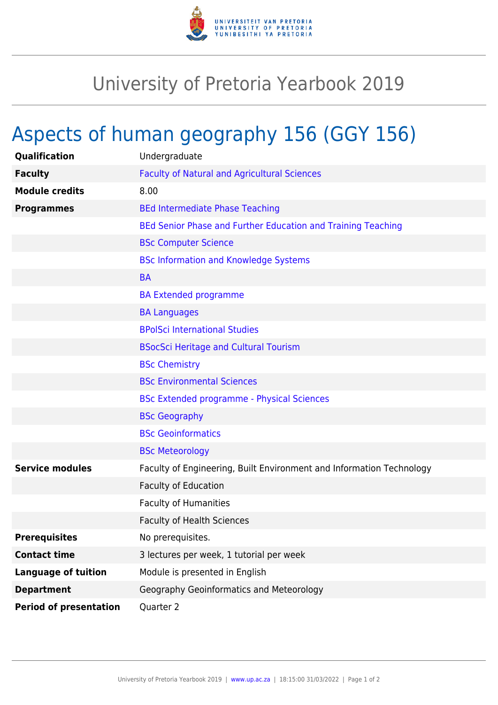

## University of Pretoria Yearbook 2019

## Aspects of human geography 156 (GGY 156)

| Qualification                 | Undergraduate                                                        |
|-------------------------------|----------------------------------------------------------------------|
| <b>Faculty</b>                | <b>Faculty of Natural and Agricultural Sciences</b>                  |
| <b>Module credits</b>         | 8.00                                                                 |
| <b>Programmes</b>             | <b>BEd Intermediate Phase Teaching</b>                               |
|                               | BEd Senior Phase and Further Education and Training Teaching         |
|                               | <b>BSc Computer Science</b>                                          |
|                               | <b>BSc Information and Knowledge Systems</b>                         |
|                               | <b>BA</b>                                                            |
|                               | <b>BA Extended programme</b>                                         |
|                               | <b>BA Languages</b>                                                  |
|                               | <b>BPolSci International Studies</b>                                 |
|                               | <b>BSocSci Heritage and Cultural Tourism</b>                         |
|                               | <b>BSc Chemistry</b>                                                 |
|                               | <b>BSc Environmental Sciences</b>                                    |
|                               | <b>BSc Extended programme - Physical Sciences</b>                    |
|                               | <b>BSc Geography</b>                                                 |
|                               | <b>BSc Geoinformatics</b>                                            |
|                               | <b>BSc Meteorology</b>                                               |
| <b>Service modules</b>        | Faculty of Engineering, Built Environment and Information Technology |
|                               | Faculty of Education                                                 |
|                               | <b>Faculty of Humanities</b>                                         |
|                               | <b>Faculty of Health Sciences</b>                                    |
| <b>Prerequisites</b>          | No prerequisites.                                                    |
| <b>Contact time</b>           | 3 lectures per week, 1 tutorial per week                             |
| <b>Language of tuition</b>    | Module is presented in English                                       |
| <b>Department</b>             | Geography Geoinformatics and Meteorology                             |
| <b>Period of presentation</b> | Quarter 2                                                            |